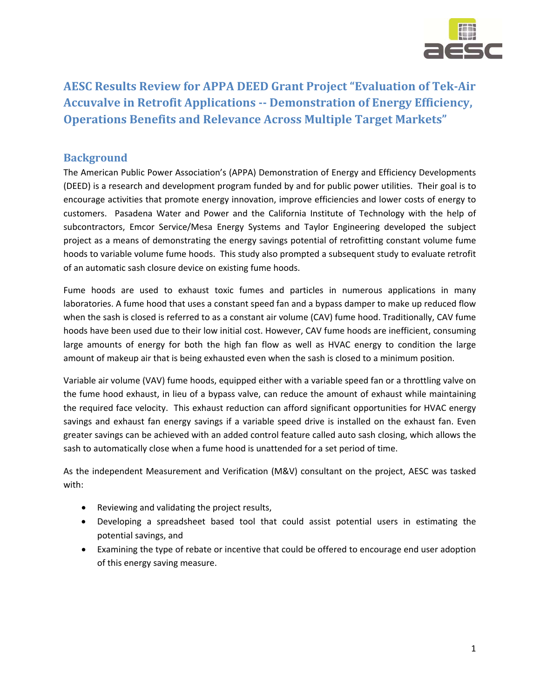

# **AESC Results Review for APPA DEED Grant Project "Evaluation of Tek‐Air Accuvalve in Retrofit Applications ‐‐ Demonstration of Energy Efficiency, Operations Benefits and Relevance Across Multiple Target Markets"**

### **Background**

The American Public Power Association's (APPA) Demonstration of Energy and Efficiency Developments (DEED) is a research and development program funded by and for public power utilities. Their goal is to encourage activities that promote energy innovation, improve efficiencies and lower costs of energy to customers. Pasadena Water and Power and the California Institute of Technology with the help of subcontractors, Emcor Service/Mesa Energy Systems and Taylor Engineering developed the subject project as a means of demonstrating the energy savings potential of retrofitting constant volume fume hoods to variable volume fume hoods. This study also prompted a subsequent study to evaluate retrofit of an automatic sash closure device on existing fume hoods.

Fume hoods are used to exhaust toxic fumes and particles in numerous applications in many laboratories. A fume hood that uses a constant speed fan and a bypass damper to make up reduced flow when the sash is closed is referred to as a constant air volume (CAV) fume hood. Traditionally, CAV fume hoods have been used due to their low initial cost. However, CAV fume hoods are inefficient, consuming large amounts of energy for both the high fan flow as well as HVAC energy to condition the large amount of makeup air that is being exhausted even when the sash is closed to a minimum position.

Variable air volume (VAV) fume hoods, equipped either with a variable speed fan or a throttling valve on the fume hood exhaust, in lieu of a bypass valve, can reduce the amount of exhaust while maintaining the required face velocity. This exhaust reduction can afford significant opportunities for HVAC energy savings and exhaust fan energy savings if a variable speed drive is installed on the exhaust fan. Even greater savings can be achieved with an added control feature called auto sash closing, which allows the sash to automatically close when a fume hood is unattended for a set period of time.

As the independent Measurement and Verification (M&V) consultant on the project, AESC was tasked with:

- Reviewing and validating the project results,
- Developing a spreadsheet based tool that could assist potential users in estimating the potential savings, and
- Examining the type of rebate or incentive that could be offered to encourage end user adoption of this energy saving measure.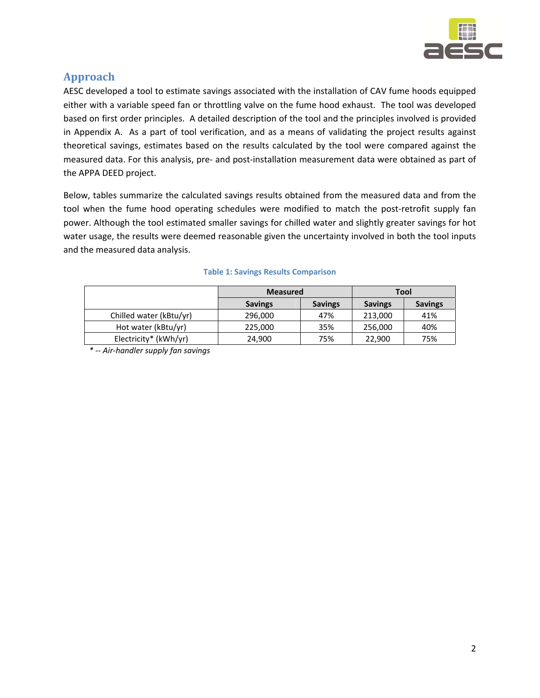

### **Approach**

AESC developed a tool to estimate savings associated with the installation of CAV fume hoods equipped either with a variable speed fan or throttling valve on the fume hood exhaust. The tool was developed based on first order principles. A detailed description of the tool and the principles involved is provided in Appendix A. As a part of tool verification, and as a means of validating the project results against theoretical savings, estimates based on the results calculated by the tool were compared against the measured data. For this analysis, pre‐ and post‐installation measurement data were obtained as part of the APPA DEED project.

Below, tables summarize the calculated savings results obtained from the measured data and from the tool when the fume hood operating schedules were modified to match the post-retrofit supply fan power. Although the tool estimated smaller savings for chilled water and slightly greater savings for hot water usage, the results were deemed reasonable given the uncertainty involved in both the tool inputs and the measured data analysis.

|                         | <b>Measured</b> |                | Tool           |                |
|-------------------------|-----------------|----------------|----------------|----------------|
|                         | <b>Savings</b>  | <b>Savings</b> | <b>Savings</b> | <b>Savings</b> |
| Chilled water (kBtu/yr) | 296,000         | 47%            | 213,000        | 41%            |
| Hot water (kBtu/yr)     | 225,000         | 35%            | 256,000        | 40%            |
| Electricity* (kWh/yr)   | 24,900          | 75%            | 22,900         | 75%            |

#### **Table 1: Savings Results Comparison**

*\* ‐‐ Air‐handler supply fan savings*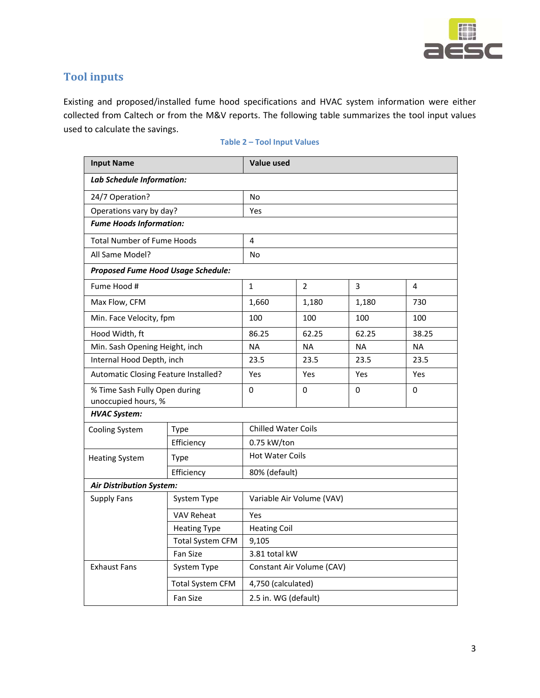

### **Tool inputs**

Existing and proposed/installed fume hood specifications and HVAC system information were either collected from Caltech or from the M&V reports. The following table summarizes the tool input values used to calculate the savings.

| <b>Input Name</b>                                    |                         | <b>Value used</b>          |                |           |           |
|------------------------------------------------------|-------------------------|----------------------------|----------------|-----------|-----------|
| Lab Schedule Information:                            |                         |                            |                |           |           |
| 24/7 Operation?                                      |                         | No                         |                |           |           |
| Operations vary by day?                              |                         | Yes                        |                |           |           |
| <b>Fume Hoods Information:</b>                       |                         |                            |                |           |           |
| <b>Total Number of Fume Hoods</b>                    |                         | 4                          |                |           |           |
| All Same Model?                                      |                         | No                         |                |           |           |
| <b>Proposed Fume Hood Usage Schedule:</b>            |                         |                            |                |           |           |
| Fume Hood #                                          |                         | $\mathbf{1}$               | $\overline{2}$ | 3         | 4         |
| Max Flow, CFM                                        |                         | 1,660                      | 1,180          | 1,180     | 730       |
| Min. Face Velocity, fpm                              |                         | 100                        | 100            | 100       | 100       |
| Hood Width, ft                                       |                         | 86.25                      | 62.25          | 62.25     | 38.25     |
| Min. Sash Opening Height, inch                       |                         | <b>NA</b>                  | <b>NA</b>      | <b>NA</b> | <b>NA</b> |
| Internal Hood Depth, inch                            |                         | 23.5                       | 23.5           | 23.5      | 23.5      |
| Automatic Closing Feature Installed?                 |                         | Yes                        | Yes            | Yes       | Yes       |
| % Time Sash Fully Open during<br>unoccupied hours, % |                         | $\Omega$                   | 0              | 0         | 0         |
| <b>HVAC System:</b>                                  |                         |                            |                |           |           |
| Cooling System                                       | Type                    | <b>Chilled Water Coils</b> |                |           |           |
|                                                      | Efficiency              | 0.75 kW/ton                |                |           |           |
| <b>Heating System</b>                                | Type                    | <b>Hot Water Coils</b>     |                |           |           |
|                                                      | Efficiency              | 80% (default)              |                |           |           |
| <b>Air Distribution System:</b>                      |                         |                            |                |           |           |
| <b>Supply Fans</b>                                   | System Type             | Variable Air Volume (VAV)  |                |           |           |
|                                                      | <b>VAV Reheat</b>       | Yes                        |                |           |           |
|                                                      | <b>Heating Type</b>     | <b>Heating Coil</b>        |                |           |           |
|                                                      | <b>Total System CFM</b> | 9,105                      |                |           |           |
|                                                      | Fan Size                | 3.81 total kW              |                |           |           |
| <b>Exhaust Fans</b>                                  | System Type             | Constant Air Volume (CAV)  |                |           |           |
|                                                      | <b>Total System CFM</b> | 4,750 (calculated)         |                |           |           |
|                                                      | Fan Size                | 2.5 in. WG (default)       |                |           |           |

#### **Table 2 – Tool Input Values**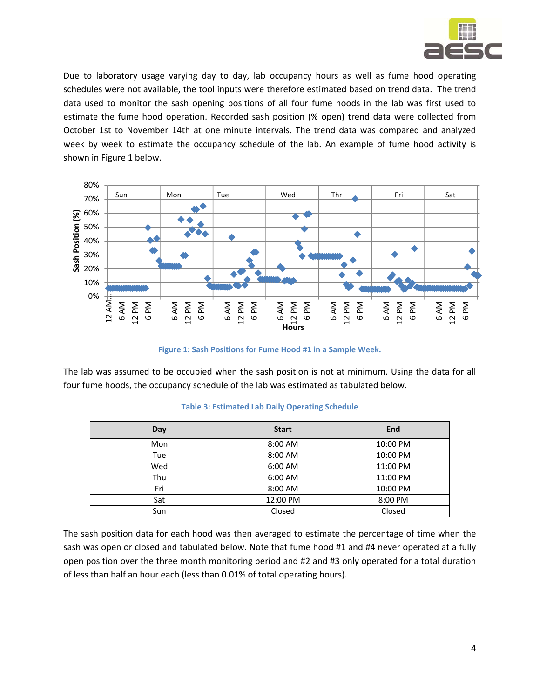

Due to laboratory usage varying day to day, lab occupancy hours as well as fume hood operating schedules were not available, the tool inputs were therefore estimated based on trend data. The trend data used to monitor the sash opening positions of all four fume hoods in the lab was first used to estimate the fume hood operation. Recorded sash position (% open) trend data were collected from October 1st to November 14th at one minute intervals. The trend data was compared and analyzed week by week to estimate the occupancy schedule of the lab. An example of fume hood activity is shown in Figure 1 below.



**Figure 1: Sash Positions for Fume Hood #1 in a Sample Week.**

The lab was assumed to be occupied when the sash position is not at minimum. Using the data for all four fume hoods, the occupancy schedule of the lab was estimated as tabulated below.

| Day | <b>Start</b> | End      |
|-----|--------------|----------|
| Mon | 8:00 AM      | 10:00 PM |
| Tue | 8:00 AM      | 10:00 PM |
| Wed | 6:00 AM      | 11:00 PM |
| Thu | 6:00 AM      | 11:00 PM |
| Fri | 8:00 AM      | 10:00 PM |
| Sat | 12:00 PM     | 8:00 PM  |
| Sun | Closed       | Closed   |

#### **Table 3: Estimated Lab Daily Operating Schedule**

The sash position data for each hood was then averaged to estimate the percentage of time when the sash was open or closed and tabulated below. Note that fume hood #1 and #4 never operated at a fully open position over the three month monitoring period and #2 and #3 only operated for a total duration of less than half an hour each (less than 0.01% of total operating hours).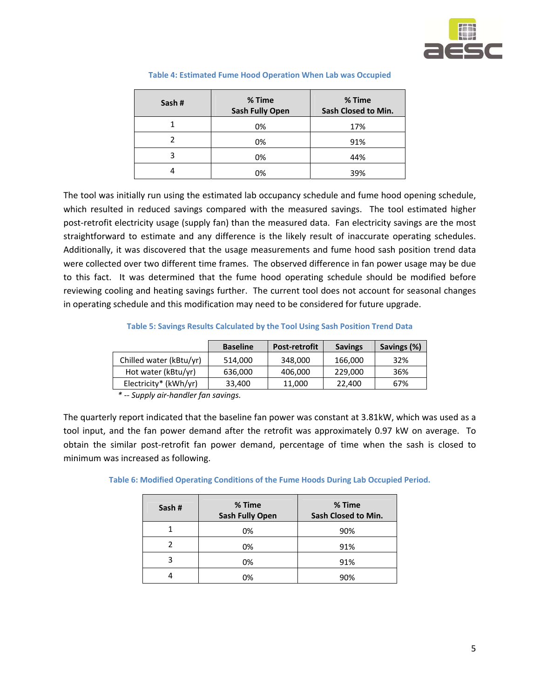

| Sash# | % Time<br><b>Sash Fully Open</b> | % Time<br>Sash Closed to Min. |
|-------|----------------------------------|-------------------------------|
|       | 0%                               | 17%                           |
|       | 0%                               | 91%                           |
| 3     | 0%                               | 44%                           |
|       | 0%                               | 39%                           |

#### **Table 4: Estimated Fume Hood Operation When Lab was Occupied**

The tool was initially run using the estimated lab occupancy schedule and fume hood opening schedule, which resulted in reduced savings compared with the measured savings. The tool estimated higher post-retrofit electricity usage (supply fan) than the measured data. Fan electricity savings are the most straightforward to estimate and any difference is the likely result of inaccurate operating schedules. Additionally, it was discovered that the usage measurements and fume hood sash position trend data were collected over two different time frames. The observed difference in fan power usage may be due to this fact. It was determined that the fume hood operating schedule should be modified before reviewing cooling and heating savings further. The current tool does not account for seasonal changes in operating schedule and this modification may need to be considered for future upgrade.

**Table 5: Savings Results Calculated by the Tool Using Sash Position Trend Data**

|                         | <b>Baseline</b> | <b>Post-retrofit</b> | <b>Savings</b> | Savings (%) |
|-------------------------|-----------------|----------------------|----------------|-------------|
| Chilled water (kBtu/yr) | 514.000         | 348,000              | 166,000        | 32%         |
| Hot water (kBtu/yr)     | 636,000         | 406,000              | 229,000        | 36%         |
| Electricity* (kWh/yr)   | 33,400          | 11,000               | 22,400         | 67%         |

*\* ‐‐ Supply air‐handler fan savings.*

The quarterly report indicated that the baseline fan power was constant at 3.81kW, which was used as a tool input, and the fan power demand after the retrofit was approximately 0.97 kW on average. To obtain the similar post‐retrofit fan power demand, percentage of time when the sash is closed to minimum was increased as following.

**Table 6: Modified Operating Conditions of the Fume Hoods During Lab Occupied Period.**

| Sash# | % Time<br><b>Sash Fully Open</b> | % Time<br>Sash Closed to Min. |
|-------|----------------------------------|-------------------------------|
|       | 0%                               | 90%                           |
|       | 0%                               | 91%                           |
| ς     | 0%                               | 91%                           |
|       | 0%                               | 90%                           |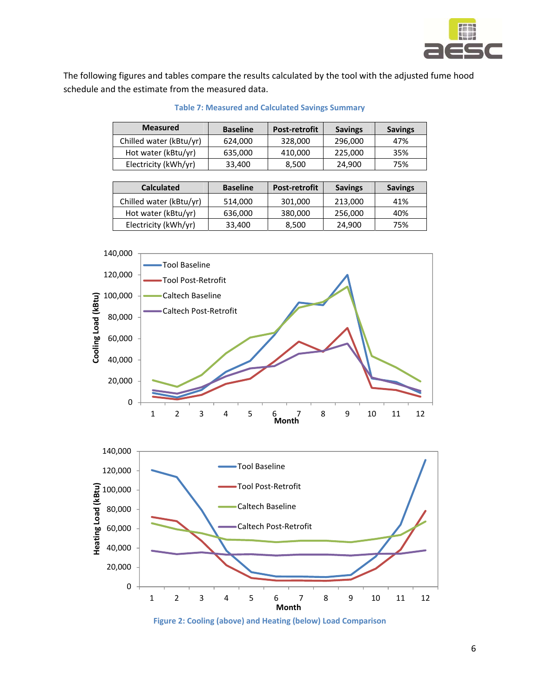

The following figures and tables compare the results calculated by the tool with the adjusted fume hood schedule and the estimate from the measured data.

| <b>Measured</b>         | <b>Baseline</b> | <b>Post-retrofit</b> | <b>Savings</b> | <b>Savings</b> |
|-------------------------|-----------------|----------------------|----------------|----------------|
| Chilled water (kBtu/yr) | 624,000         | 328,000              | 296,000        | 47%            |
| Hot water (kBtu/yr)     | 635,000         | 410,000              | 225,000        | 35%            |
| Electricity (kWh/yr)    | 33,400          | 8,500                | 24,900         | 75%            |
|                         |                 |                      |                |                |
| <b>Calculated</b>       | <b>Baseline</b> | <b>Post-retrofit</b> | <b>Savings</b> | <b>Savings</b> |
|                         |                 |                      |                |                |
| Chilled water (kBtu/yr) | 514,000         | 301,000              | 213,000        | 41%            |
| Hot water (kBtu/yr)     | 636,000         | 380,000              | 256,000        | 40%            |

**Table 7: Measured and Calculated Savings Summary**





**Figure 2: Cooling (above) and Heating (below) Load Comparison**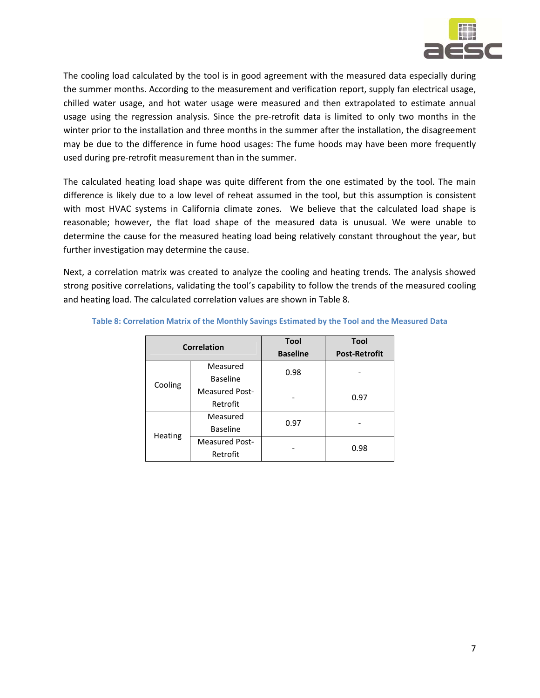

The cooling load calculated by the tool is in good agreement with the measured data especially during the summer months. According to the measurement and verification report, supply fan electrical usage, chilled water usage, and hot water usage were measured and then extrapolated to estimate annual usage using the regression analysis. Since the pre-retrofit data is limited to only two months in the winter prior to the installation and three months in the summer after the installation, the disagreement may be due to the difference in fume hood usages: The fume hoods may have been more frequently used during pre‐retrofit measurement than in the summer.

The calculated heating load shape was quite different from the one estimated by the tool. The main difference is likely due to a low level of reheat assumed in the tool, but this assumption is consistent with most HVAC systems in California climate zones. We believe that the calculated load shape is reasonable; however, the flat load shape of the measured data is unusual. We were unable to determine the cause for the measured heating load being relatively constant throughout the year, but further investigation may determine the cause.

Next, a correlation matrix was created to analyze the cooling and heating trends. The analysis showed strong positive correlations, validating the tool's capability to follow the trends of the measured cooling and heating load. The calculated correlation values are shown in Table 8.

| Correlation |                       | <b>Tool</b>     | <b>Tool</b>          |  |
|-------------|-----------------------|-----------------|----------------------|--|
|             |                       | <b>Baseline</b> | <b>Post-Retrofit</b> |  |
|             | Measured              | 0.98            |                      |  |
| Cooling     | Baseline              |                 |                      |  |
|             | <b>Measured Post-</b> |                 | 0.97                 |  |
|             | Retrofit              |                 |                      |  |
|             | Measured              | 0.97            |                      |  |
| Heating     | <b>Baseline</b>       |                 |                      |  |
|             | <b>Measured Post-</b> |                 | 0.98                 |  |
| Retrofit    |                       |                 |                      |  |

**Table 8: Correlation Matrix of the Monthly Savings Estimated by the Tool and the Measured Data**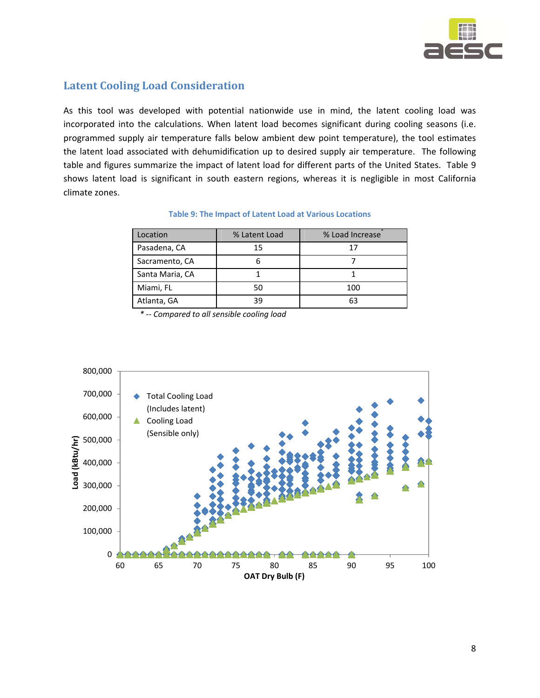

### **Latent Cooling Load Consideration**

As this tool was developed with potential nationwide use in mind, the latent cooling load was incorporated into the calculations. When latent load becomes significant during cooling seasons (i.e. programmed supply air temperature falls below ambient dew point temperature), the tool estimates the latent load associated with dehumidification up to desired supply air temperature. The following table and figures summarize the impact of latent load for different parts of the United States. Table 9 shows latent load is significant in south eastern regions, whereas it is negligible in most California climate zones.

| Location        | % Latent Load | % Load Increase |
|-----------------|---------------|-----------------|
| Pasadena, CA    | 15            |                 |
| Sacramento, CA  |               |                 |
| Santa Maria, CA |               |                 |
| Miami, FL       | 50            | 100             |
| Atlanta, GA     | 39            | 63              |

#### **Table 9: The Impact of Latent Load at Various Locations**

*\* ‐‐ Compared to all sensible cooling load*

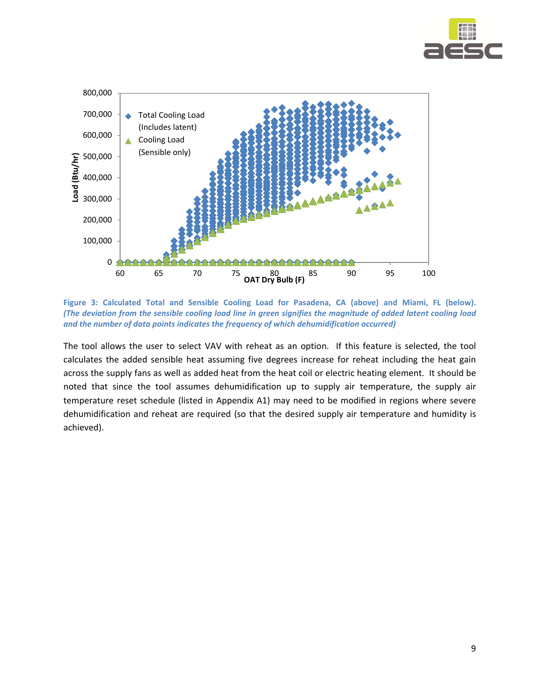



**Figure 3: Calculated Total and Sensible Cooling Load for Pasadena, CA (above) and Miami, FL (below).** (The deviation from the sensible cooling load line in green signifies the magnitude of added latent cooling load *and the number of data points indicates the frequency of which dehumidification occurred)*

The tool allows the user to select VAV with reheat as an option. If this feature is selected, the tool calculates the added sensible heat assuming five degrees increase for reheat including the heat gain across the supply fans as well as added heat from the heat coil or electric heating element. It should be noted that since the tool assumes dehumidification up to supply air temperature, the supply air temperature reset schedule (listed in Appendix A1) may need to be modified in regions where severe dehumidification and reheat are required (so that the desired supply air temperature and humidity is achieved).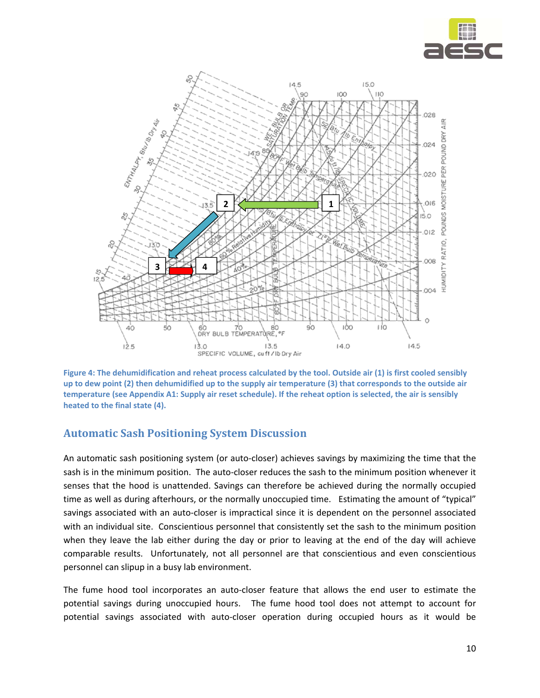



Figure 4: The dehumidification and reheat process calculated by the tool. Outside air (1) is first cooled sensibly up to dew point (2) then dehumidified up to the supply air temperature (3) that corresponds to the outside air temperature (see Appendix A1: Supply air reset schedule). If the reheat option is selected, the air is sensibly **heated to the final state (4).** 

### **Automatic Sash Positioning System Discussion**

An automatic sash positioning system (or auto‐closer) achieves savings by maximizing the time that the sash is in the minimum position. The auto-closer reduces the sash to the minimum position whenever it senses that the hood is unattended. Savings can therefore be achieved during the normally occupied time as well as during afterhours, or the normally unoccupied time. Estimating the amount of "typical" savings associated with an auto-closer is impractical since it is dependent on the personnel associated with an individual site. Conscientious personnel that consistently set the sash to the minimum position when they leave the lab either during the day or prior to leaving at the end of the day will achieve comparable results. Unfortunately, not all personnel are that conscientious and even conscientious personnel can slipup in a busy lab environment.

The fume hood tool incorporates an auto-closer feature that allows the end user to estimate the potential savings during unoccupied hours. The fume hood tool does not attempt to account for potential savings associated with auto‐closer operation during occupied hours as it would be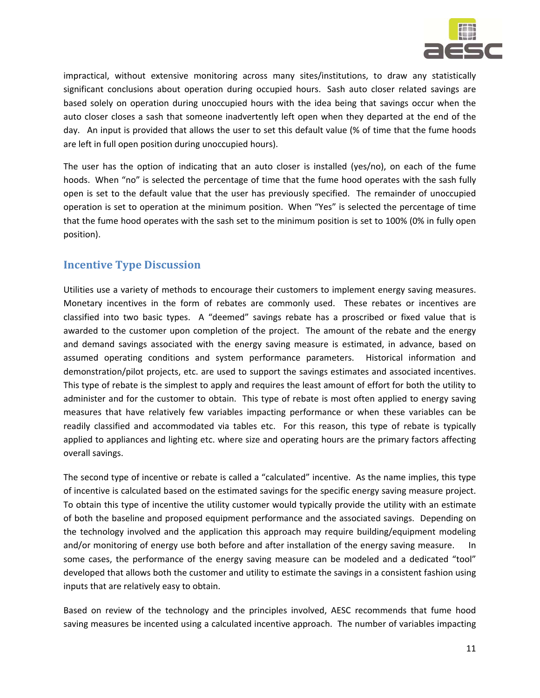

impractical, without extensive monitoring across many sites/institutions, to draw any statistically significant conclusions about operation during occupied hours. Sash auto closer related savings are based solely on operation during unoccupied hours with the idea being that savings occur when the auto closer closes a sash that someone inadvertently left open when they departed at the end of the day. An input is provided that allows the user to set this default value (% of time that the fume hoods are left in full open position during unoccupied hours).

The user has the option of indicating that an auto closer is installed (yes/no), on each of the fume hoods. When "no" is selected the percentage of time that the fume hood operates with the sash fully open is set to the default value that the user has previously specified. The remainder of unoccupied operation is set to operation at the minimum position. When "Yes" is selected the percentage of time that the fume hood operates with the sash set to the minimum position is set to 100% (0% in fully open position).

### **Incentive Type Discussion**

Utilities use a variety of methods to encourage their customers to implement energy saving measures. Monetary incentives in the form of rebates are commonly used. These rebates or incentives are classified into two basic types. A "deemed" savings rebate has a proscribed or fixed value that is awarded to the customer upon completion of the project. The amount of the rebate and the energy and demand savings associated with the energy saving measure is estimated, in advance, based on assumed operating conditions and system performance parameters. Historical information and demonstration/pilot projects, etc. are used to support the savings estimates and associated incentives. This type of rebate is the simplest to apply and requires the least amount of effort for both the utility to administer and for the customer to obtain. This type of rebate is most often applied to energy saving measures that have relatively few variables impacting performance or when these variables can be readily classified and accommodated via tables etc. For this reason, this type of rebate is typically applied to appliances and lighting etc. where size and operating hours are the primary factors affecting overall savings.

The second type of incentive or rebate is called a "calculated" incentive. As the name implies, this type of incentive is calculated based on the estimated savings for the specific energy saving measure project. To obtain this type of incentive the utility customer would typically provide the utility with an estimate of both the baseline and proposed equipment performance and the associated savings. Depending on the technology involved and the application this approach may require building/equipment modeling and/or monitoring of energy use both before and after installation of the energy saving measure. In some cases, the performance of the energy saving measure can be modeled and a dedicated "tool" developed that allows both the customer and utility to estimate the savings in a consistent fashion using inputs that are relatively easy to obtain.

Based on review of the technology and the principles involved, AESC recommends that fume hood saving measures be incented using a calculated incentive approach. The number of variables impacting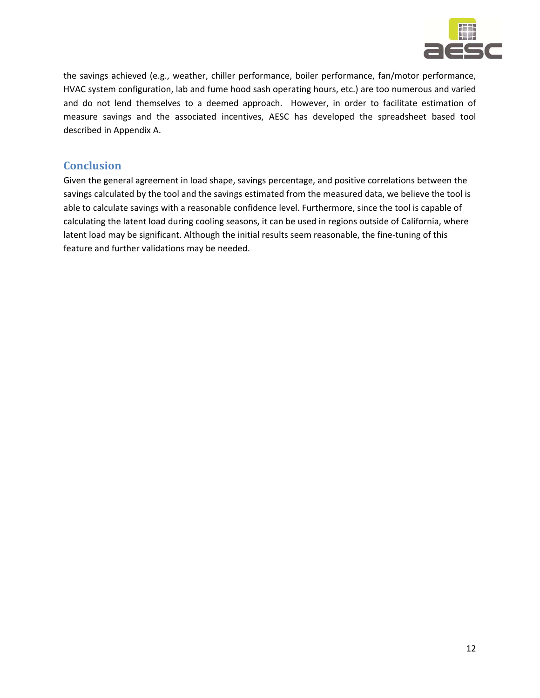

the savings achieved (e.g., weather, chiller performance, boiler performance, fan/motor performance, HVAC system configuration, lab and fume hood sash operating hours, etc.) are too numerous and varied and do not lend themselves to a deemed approach. However, in order to facilitate estimation of measure savings and the associated incentives, AESC has developed the spreadsheet based tool described in Appendix A.

### **Conclusion**

Given the general agreement in load shape, savings percentage, and positive correlations between the savings calculated by the tool and the savings estimated from the measured data, we believe the tool is able to calculate savings with a reasonable confidence level. Furthermore, since the tool is capable of calculating the latent load during cooling seasons, it can be used in regions outside of California, where latent load may be significant. Although the initial results seem reasonable, the fine-tuning of this feature and further validations may be needed.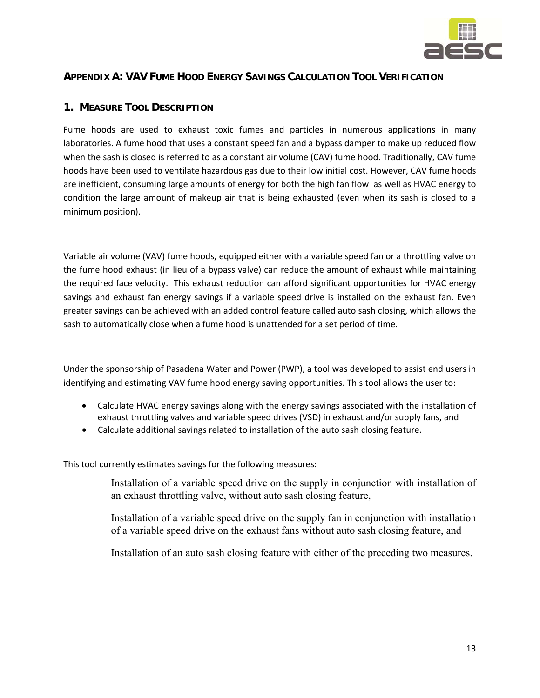

#### **APPENDIX A: VAV FUME HOOD ENERGY SAVINGS CALCULATION TOOL VERIFICATION**

#### **1. MEASURE TOOL DESCRIPTION**

Fume hoods are used to exhaust toxic fumes and particles in numerous applications in many laboratories. A fume hood that uses a constant speed fan and a bypass damper to make up reduced flow when the sash is closed is referred to as a constant air volume (CAV) fume hood. Traditionally, CAV fume hoods have been used to ventilate hazardous gas due to their low initial cost. However, CAV fume hoods are inefficient, consuming large amounts of energy for both the high fan flow as well as HVAC energy to condition the large amount of makeup air that is being exhausted (even when its sash is closed to a minimum position).

Variable air volume (VAV) fume hoods, equipped either with a variable speed fan or a throttling valve on the fume hood exhaust (in lieu of a bypass valve) can reduce the amount of exhaust while maintaining the required face velocity. This exhaust reduction can afford significant opportunities for HVAC energy savings and exhaust fan energy savings if a variable speed drive is installed on the exhaust fan. Even greater savings can be achieved with an added control feature called auto sash closing, which allows the sash to automatically close when a fume hood is unattended for a set period of time.

Under the sponsorship of Pasadena Water and Power (PWP), a tool was developed to assist end users in identifying and estimating VAV fume hood energy saving opportunities. This tool allows the user to:

- Calculate HVAC energy savings along with the energy savings associated with the installation of exhaust throttling valves and variable speed drives (VSD) in exhaust and/or supply fans, and
- Calculate additional savings related to installation of the auto sash closing feature.

This tool currently estimates savings for the following measures:

 Installation of a variable speed drive on the supply in conjunction with installation of an exhaust throttling valve, without auto sash closing feature,

 Installation of a variable speed drive on the supply fan in conjunction with installation of a variable speed drive on the exhaust fans without auto sash closing feature, and

Installation of an auto sash closing feature with either of the preceding two measures.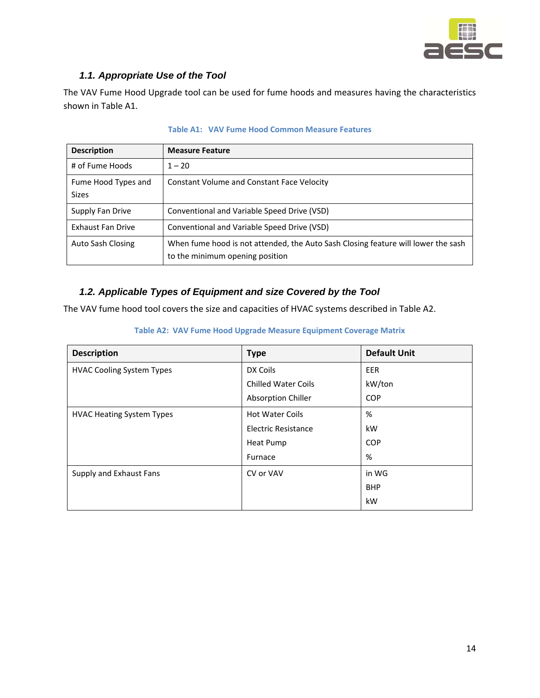

### *1.1. Appropriate Use of the Tool*

The VAV Fume Hood Upgrade tool can be used for fume hoods and measures having the characteristics shown in Table A1.

| <b>Description</b>                  | <b>Measure Feature</b>                                                                                               |
|-------------------------------------|----------------------------------------------------------------------------------------------------------------------|
| # of Fume Hoods                     | $1 - 20$                                                                                                             |
| Fume Hood Types and<br><b>Sizes</b> | <b>Constant Volume and Constant Face Velocity</b>                                                                    |
| Supply Fan Drive                    | Conventional and Variable Speed Drive (VSD)                                                                          |
| <b>Exhaust Fan Drive</b>            | Conventional and Variable Speed Drive (VSD)                                                                          |
| Auto Sash Closing                   | When fume hood is not attended, the Auto Sash Closing feature will lower the sash<br>to the minimum opening position |

#### **Table A1: VAV Fume Hood Common Measure Features**

### *1.2. Applicable Types of Equipment and size Covered by the Tool*

The VAV fume hood tool covers the size and capacities of HVAC systems described in Table A2.

| <b>Description</b>               | <b>Type</b>                | <b>Default Unit</b> |
|----------------------------------|----------------------------|---------------------|
| <b>HVAC Cooling System Types</b> | DX Coils                   | EER                 |
|                                  | <b>Chilled Water Coils</b> | kW/ton              |
|                                  | Absorption Chiller         | <b>COP</b>          |
| <b>HVAC Heating System Types</b> | <b>Hot Water Coils</b>     | %                   |
|                                  | <b>Electric Resistance</b> | kW                  |
|                                  | Heat Pump                  | <b>COP</b>          |
|                                  | Furnace                    | %                   |
| Supply and Exhaust Fans          | CV or VAV                  | in WG               |
|                                  |                            | <b>BHP</b>          |
|                                  |                            | kW                  |

#### **Table A2: VAV Fume Hood Upgrade Measure Equipment Coverage Matrix**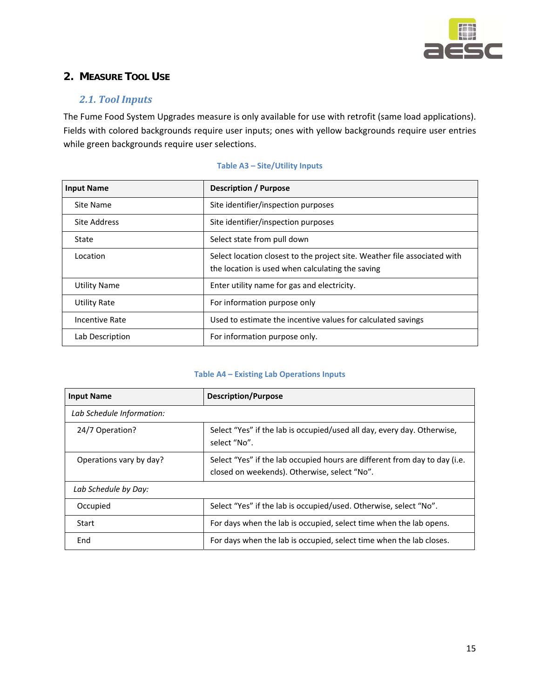

### **2. MEASURE TOOL USE**

#### *2.1. Tool Inputs*

The Fume Food System Upgrades measure is only available for use with retrofit (same load applications). Fields with colored backgrounds require user inputs; ones with yellow backgrounds require user entries while green backgrounds require user selections.

| <b>Input Name</b>   | <b>Description / Purpose</b>                                                                                                  |
|---------------------|-------------------------------------------------------------------------------------------------------------------------------|
| Site Name           | Site identifier/inspection purposes                                                                                           |
| Site Address        | Site identifier/inspection purposes                                                                                           |
| State               | Select state from pull down                                                                                                   |
| Location            | Select location closest to the project site. Weather file associated with<br>the location is used when calculating the saving |
| <b>Utility Name</b> | Enter utility name for gas and electricity.                                                                                   |
| <b>Utility Rate</b> | For information purpose only                                                                                                  |
| Incentive Rate      | Used to estimate the incentive values for calculated savings                                                                  |
| Lab Description     | For information purpose only.                                                                                                 |

#### **Table A3 – Site/Utility Inputs**

#### **Table A4 – Existing Lab Operations Inputs**

| <b>Input Name</b>         | <b>Description/Purpose</b>                                                                                                 |  |  |
|---------------------------|----------------------------------------------------------------------------------------------------------------------------|--|--|
| Lab Schedule Information: |                                                                                                                            |  |  |
| 24/7 Operation?           | Select "Yes" if the lab is occupied/used all day, every day. Otherwise,<br>select "No".                                    |  |  |
| Operations vary by day?   | Select "Yes" if the lab occupied hours are different from day to day (i.e.<br>closed on weekends). Otherwise, select "No". |  |  |
| Lab Schedule by Day:      |                                                                                                                            |  |  |
| Occupied                  | Select "Yes" if the lab is occupied/used. Otherwise, select "No".                                                          |  |  |
| Start                     | For days when the lab is occupied, select time when the lab opens.                                                         |  |  |
| End                       | For days when the lab is occupied, select time when the lab closes.                                                        |  |  |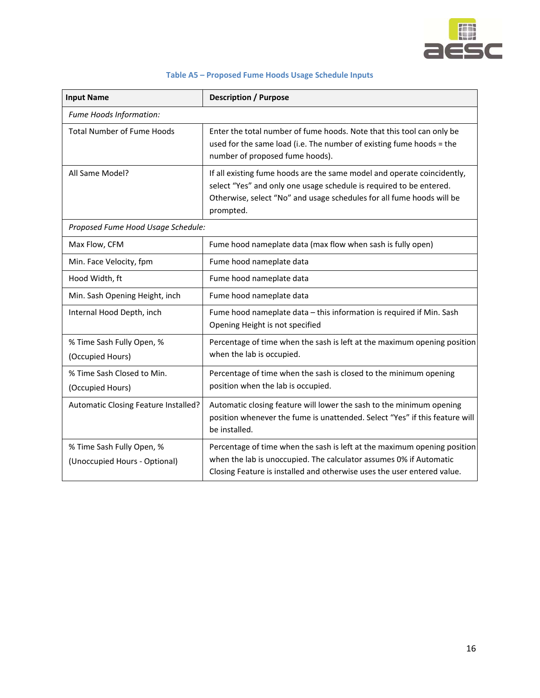![](_page_15_Picture_0.jpeg)

| <b>Input Name</b>                                          | <b>Description / Purpose</b>                                                                                                                                                                                                         |  |  |
|------------------------------------------------------------|--------------------------------------------------------------------------------------------------------------------------------------------------------------------------------------------------------------------------------------|--|--|
| Fume Hoods Information:                                    |                                                                                                                                                                                                                                      |  |  |
| <b>Total Number of Fume Hoods</b>                          | Enter the total number of fume hoods. Note that this tool can only be<br>used for the same load (i.e. The number of existing fume hoods = the<br>number of proposed fume hoods).                                                     |  |  |
| All Same Model?                                            | If all existing fume hoods are the same model and operate coincidently,<br>select "Yes" and only one usage schedule is required to be entered.<br>Otherwise, select "No" and usage schedules for all fume hoods will be<br>prompted. |  |  |
| Proposed Fume Hood Usage Schedule:                         |                                                                                                                                                                                                                                      |  |  |
| Max Flow, CFM                                              | Fume hood nameplate data (max flow when sash is fully open)                                                                                                                                                                          |  |  |
| Min. Face Velocity, fpm                                    | Fume hood nameplate data                                                                                                                                                                                                             |  |  |
| Hood Width, ft                                             | Fume hood nameplate data                                                                                                                                                                                                             |  |  |
| Min. Sash Opening Height, inch                             | Fume hood nameplate data                                                                                                                                                                                                             |  |  |
| Internal Hood Depth, inch                                  | Fume hood nameplate data - this information is required if Min. Sash<br>Opening Height is not specified                                                                                                                              |  |  |
| % Time Sash Fully Open, %<br>(Occupied Hours)              | Percentage of time when the sash is left at the maximum opening position<br>when the lab is occupied.                                                                                                                                |  |  |
| % Time Sash Closed to Min.<br>(Occupied Hours)             | Percentage of time when the sash is closed to the minimum opening<br>position when the lab is occupied.                                                                                                                              |  |  |
| Automatic Closing Feature Installed?                       | Automatic closing feature will lower the sash to the minimum opening<br>position whenever the fume is unattended. Select "Yes" if this feature will<br>be installed.                                                                 |  |  |
| % Time Sash Fully Open, %<br>(Unoccupied Hours - Optional) | Percentage of time when the sash is left at the maximum opening position<br>when the lab is unoccupied. The calculator assumes 0% if Automatic<br>Closing Feature is installed and otherwise uses the user entered value.            |  |  |

#### **Table A5 – Proposed Fume Hoods Usage Schedule Inputs**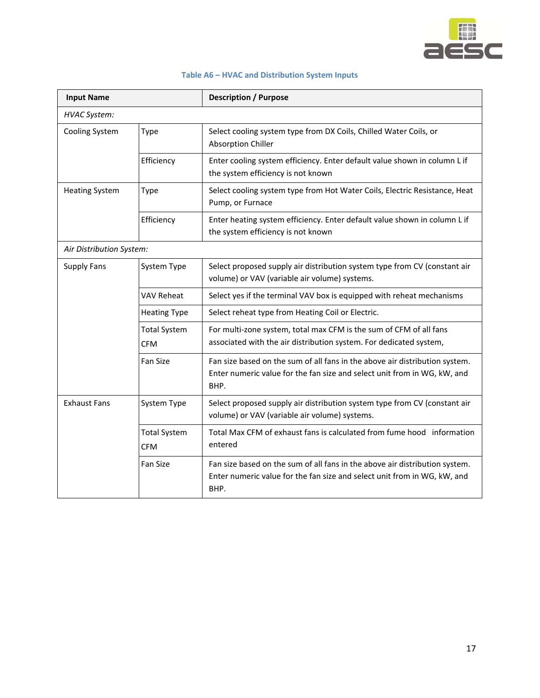![](_page_16_Picture_0.jpeg)

| Table A6 - HVAC and Distribution System Inputs |  |  |
|------------------------------------------------|--|--|
|------------------------------------------------|--|--|

| <b>Input Name</b>        |                                   | <b>Description / Purpose</b>                                                                                                                                    |  |  |
|--------------------------|-----------------------------------|-----------------------------------------------------------------------------------------------------------------------------------------------------------------|--|--|
| <b>HVAC System:</b>      |                                   |                                                                                                                                                                 |  |  |
| Cooling System           | Type                              | Select cooling system type from DX Coils, Chilled Water Coils, or<br><b>Absorption Chiller</b>                                                                  |  |  |
|                          | Efficiency                        | Enter cooling system efficiency. Enter default value shown in column L if<br>the system efficiency is not known                                                 |  |  |
| <b>Heating System</b>    | Type                              | Select cooling system type from Hot Water Coils, Electric Resistance, Heat<br>Pump, or Furnace                                                                  |  |  |
|                          | Efficiency                        | Enter heating system efficiency. Enter default value shown in column L if<br>the system efficiency is not known                                                 |  |  |
| Air Distribution System: |                                   |                                                                                                                                                                 |  |  |
| <b>Supply Fans</b>       | System Type                       | Select proposed supply air distribution system type from CV (constant air<br>volume) or VAV (variable air volume) systems.                                      |  |  |
|                          | VAV Reheat                        | Select yes if the terminal VAV box is equipped with reheat mechanisms                                                                                           |  |  |
|                          | <b>Heating Type</b>               | Select reheat type from Heating Coil or Electric.                                                                                                               |  |  |
|                          | <b>Total System</b><br><b>CFM</b> | For multi-zone system, total max CFM is the sum of CFM of all fans<br>associated with the air distribution system. For dedicated system,                        |  |  |
|                          | Fan Size                          | Fan size based on the sum of all fans in the above air distribution system.<br>Enter numeric value for the fan size and select unit from in WG, kW, and<br>BHP. |  |  |
| <b>Exhaust Fans</b>      | System Type                       | Select proposed supply air distribution system type from CV (constant air<br>volume) or VAV (variable air volume) systems.                                      |  |  |
|                          | <b>Total System</b><br><b>CFM</b> | Total Max CFM of exhaust fans is calculated from fume hood information<br>entered                                                                               |  |  |
|                          | Fan Size                          | Fan size based on the sum of all fans in the above air distribution system.<br>Enter numeric value for the fan size and select unit from in WG, kW, and<br>BHP. |  |  |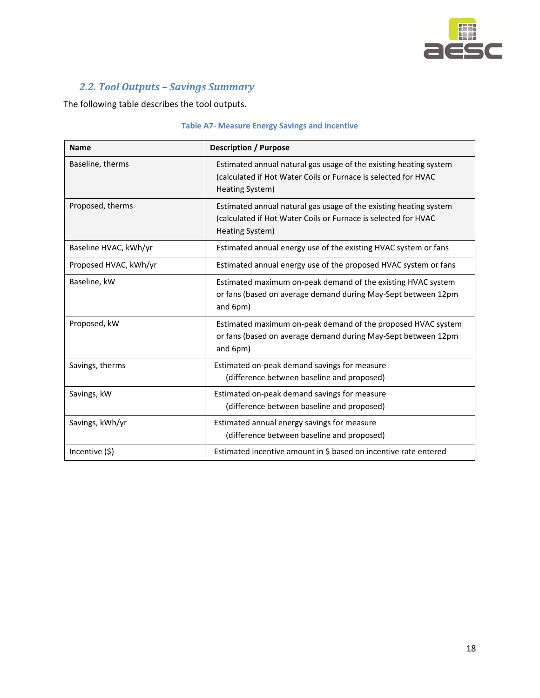![](_page_17_Picture_0.jpeg)

### *2.2. Tool Outputs – Savings Summary*

The following table describes the tool outputs.

| <b>Name</b>           | <b>Description / Purpose</b>                                                                                                                           |  |  |
|-----------------------|--------------------------------------------------------------------------------------------------------------------------------------------------------|--|--|
| Baseline, therms      | Estimated annual natural gas usage of the existing heating system<br>(calculated if Hot Water Coils or Furnace is selected for HVAC<br>Heating System) |  |  |
| Proposed, therms      | Estimated annual natural gas usage of the existing heating system<br>(calculated if Hot Water Coils or Furnace is selected for HVAC<br>Heating System) |  |  |
| Baseline HVAC, kWh/yr | Estimated annual energy use of the existing HVAC system or fans                                                                                        |  |  |
| Proposed HVAC, kWh/yr | Estimated annual energy use of the proposed HVAC system or fans                                                                                        |  |  |
| Baseline, kW          | Estimated maximum on-peak demand of the existing HVAC system<br>or fans (based on average demand during May-Sept between 12pm<br>and 6pm)              |  |  |
| Proposed, kW          | Estimated maximum on-peak demand of the proposed HVAC system<br>or fans (based on average demand during May-Sept between 12pm<br>and 6pm)              |  |  |
| Savings, therms       | Estimated on-peak demand savings for measure<br>(difference between baseline and proposed)                                                             |  |  |
| Savings, kW           | Estimated on-peak demand savings for measure<br>(difference between baseline and proposed)                                                             |  |  |
| Savings, kWh/yr       | Estimated annual energy savings for measure<br>(difference between baseline and proposed)                                                              |  |  |
| Incentive (\$)        | Estimated incentive amount in \$ based on incentive rate entered                                                                                       |  |  |

#### **Table A7‐ Measure Energy Savings and Incentive**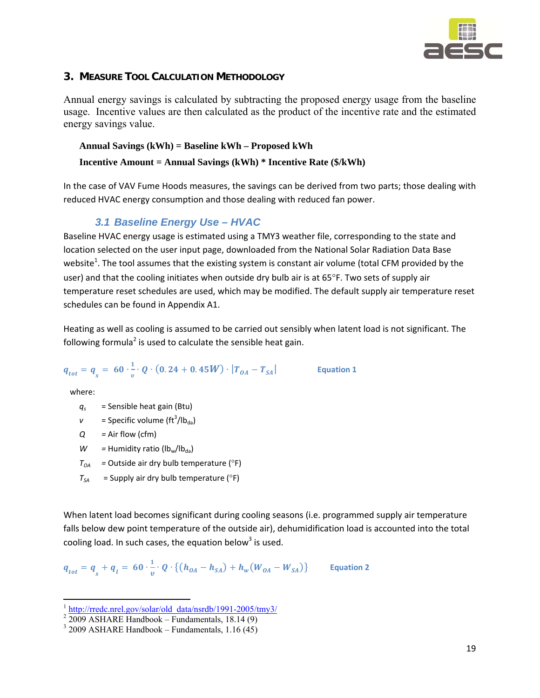![](_page_18_Picture_0.jpeg)

#### **3. MEASURE TOOL CALCULATION METHODOLOGY**

Annual energy savings is calculated by subtracting the proposed energy usage from the baseline usage. Incentive values are then calculated as the product of the incentive rate and the estimated energy savings value.

#### **Annual Savings (kWh) = Baseline kWh – Proposed kWh**

#### **Incentive Amount = Annual Savings (kWh) \* Incentive Rate (\$/kWh)**

In the case of VAV Fume Hoods measures, the savings can be derived from two parts; those dealing with reduced HVAC energy consumption and those dealing with reduced fan power.

### *3.1 Baseline Energy Use – HVAC*

Baseline HVAC energy usage is estimated using a TMY3 weather file, corresponding to the state and location selected on the user input page, downloaded from the National Solar Radiation Data Base website<sup>1</sup>. The tool assumes that the existing system is constant air volume (total CFM provided by the user) and that the cooling initiates when outside dry bulb air is at 65°F. Two sets of supply air temperature reset schedules are used, which may be modified. The default supply air temperature reset schedules can be found in Appendix A1.

Heating as well as cooling is assumed to be carried out sensibly when latent load is not significant. The following formula<sup>2</sup> is used to calculate the sensible heat gain.

**Equation 1** 

$$
q_{tot} = q_{s} = 60 \cdot \frac{1}{v} \cdot Q \cdot (0.24 + 0.45W) \cdot |T_{0A} - T_{SA}|
$$

where:

- $q_s$  = Sensible heat gain (Btu)
- $v =$  Specific volume (ft<sup>3</sup>/lb<sub>da</sub>)
- *Q =* Air flow (cfm)
- $W =$  Humidity ratio ( $lb_w / lb_{da}$ )
- $T_{04}$  = Outside air dry bulb temperature ( $^{\circ}$ F)
- $T_{SA}$  = Supply air dry bulb temperature ( $^{\circ}$ F)

When latent load becomes significant during cooling seasons (i.e. programmed supply air temperature falls below dew point temperature of the outside air), dehumidification load is accounted into the total cooling load. In such cases, the equation below<sup>3</sup> is used.

$$
q_{tot} = q_{s} + q_{l} = 60 \cdot \frac{1}{v} \cdot Q \cdot \{(h_{OA} - h_{SA}) + h_{w}(W_{OA} - W_{SA})\}
$$
 Equation 2

<sup>&</sup>lt;sup>1</sup> http://rredc.nrel.gov/solar/old\_data/nsrdb/1991-2005/tmy3/

 $2\,2009$  ASHARE Handbook – Fundamentals, 18.14 (9)

 $3\,$  2009 ASHARE Handbook – Fundamentals, 1.16 (45)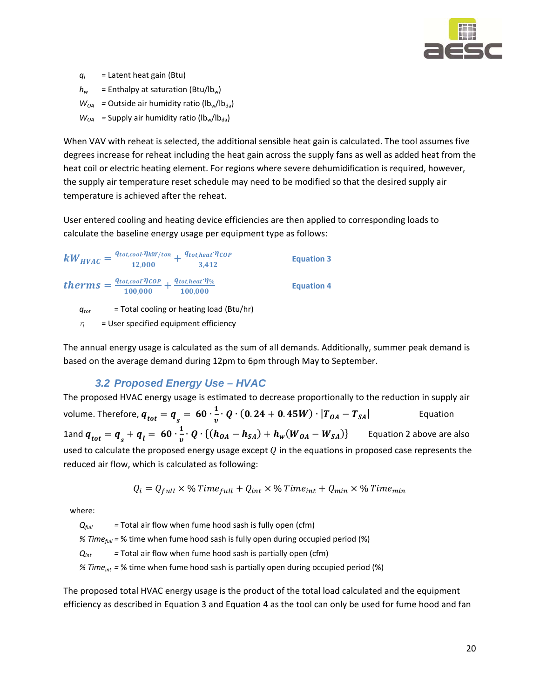![](_page_19_Picture_0.jpeg)

*ql* = Latent heat gain (Btu)

 $h_w$  = Enthalpy at saturation (Btu/lb<sub>w</sub>)

 $W_{OA}$  = Outside air humidity ratio ( $lb_w / lb_{da}$ )

 $W_{OA}$  = Supply air humidity ratio ( $lb_w/b_{da}$ )

When VAV with reheat is selected, the additional sensible heat gain is calculated. The tool assumes five degrees increase for reheat including the heat gain across the supply fans as well as added heat from the heat coil or electric heating element. For regions where severe dehumidification is required, however, the supply air temperature reset schedule may need to be modified so that the desired supply air temperature is achieved after the reheat.

User entered cooling and heating device efficiencies are then applied to corresponding loads to calculate the baseline energy usage per equipment type as follows:

$$
kW_{HVAC} = \frac{q_{tot,cool}\cdot\eta_{kW/ton}}{12,000} + \frac{q_{tot,heat}\cdot\eta_{COP}}{3,412}
$$
 Equation 3  
\n
$$
therms = \frac{q_{tot,cool}\cdot\eta_{COP}}{100,000} + \frac{q_{tot,heat}\cdot\eta_{\%}}{100,000}
$$
 Equation 4

*qtot* = Total cooling or heating load (Btu/hr)

*η*  = User specified equipment efficiency

The annual energy usage is calculated as the sum of all demands. Additionally, summer peak demand is based on the average demand during 12pm to 6pm through May to September.

#### *3.2 Proposed Energy Use – HVAC*

The proposed HVAC energy usage is estimated to decrease proportionally to the reduction in supply air volume. Therefore,  $\bm{q_{tot}} = \bm{q}_s = \ \mathbf{60} \cdot \frac{1}{v} \cdot \bm{Q} \cdot (\mathbf{0}.24 + \mathbf{0}.45 \bm{W}) \cdot |\bm{T_{OA}} - \bm{T_{SA}}|$  Equation 1and  $q_{tot} = q_{s} + q_{l} = 60 \cdot \frac{1}{v} \cdot Q \cdot \{(h_{0A} - h_{SA}) + h_{w}(W_{0A} - W_{SA})\}$  Equation 2 above are also used to calculate the proposed energy usage except  $Q$  in the equations in proposed case represents the reduced air flow, which is calculated as following:

$$
Q_i = Q_{full} \times \%
$$
 Time<sub>full</sub> + Q<sub>int</sub> × % Time<sub>int</sub> + Q<sub>min</sub> × % Time<sub>min</sub>

where:

*Q<sub>full</sub>* = Total air flow when fume hood sash is fully open (cfm)

*% Timefull =* % time when fume hood sash is fully open during occupied period (%)

 $Q_{int}$  = Total air flow when fume hood sash is partially open (cfm)

*% Timeint =* % time when fume hood sash is partially open during occupied period (%)

The proposed total HVAC energy usage is the product of the total load calculated and the equipment efficiency as described in Equation 3 and Equation 4 as the tool can only be used for fume hood and fan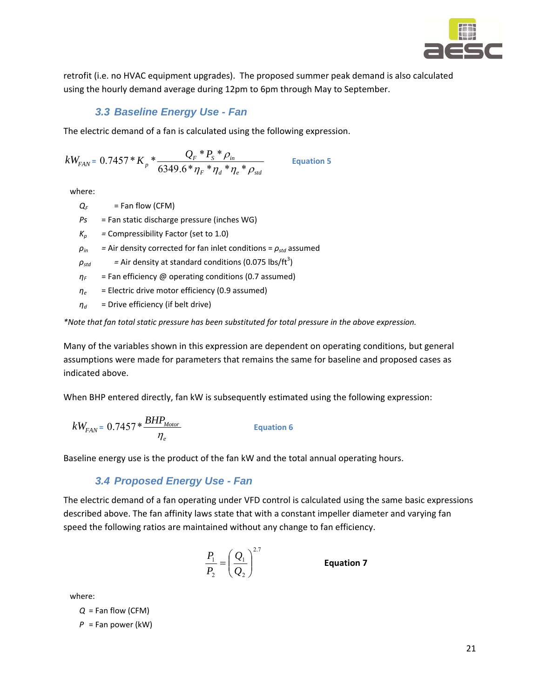![](_page_20_Picture_0.jpeg)

retrofit (i.e. no HVAC equipment upgrades). The proposed summer peak demand is also calculated using the hourly demand average during 12pm to 6pm through May to September.

### *3.3 Baseline Energy Use - Fan*

The electric demand of a fan is calculated using the following expression.

$$
kW_{FAN} = 0.7457 \times K_p \times \frac{Q_F \times P_S \times \rho_{in}}{6349.6 \times \eta_F \times \eta_d \times \eta_e \times \rho_{std}}
$$
 Equation 5

where:

- $Q_F$  = Fan flow (CFM)
- *Ps*  = Fan static discharge pressure (inches WG)
- $K_p$  = Compressibility Factor (set to 1.0)
- $\rho$ <sub>*in*</sub> = Air density corrected for fan inlet conditions =  $\rho$ <sub>std</sub> assumed

 $\rho_{std}$   $=$  Air density at standard conditions (0.075 lbs/ft<sup>3</sup>)

- $\eta_F$  = Fan efficiency @ operating conditions (0.7 assumed)
- *η<sup>e</sup>* = Electric drive motor efficiency (0.9 assumed)
- $\eta_d$  = Drive efficiency (if belt drive)

*\*Note that fan total static pressure has been substituted for total pressure in the above expression.* 

Many of the variables shown in this expression are dependent on operating conditions, but general assumptions were made for parameters that remains the same for baseline and proposed cases as indicated above.

When BHP entered directly, fan kW is subsequently estimated using the following expression:

$$
kW_{FAN} = 0.7457 * \frac{BHP_{Motor}}{\eta_e}
$$
 Equation 6

Baseline energy use is the product of the fan kW and the total annual operating hours.

#### *3.4 Proposed Energy Use - Fan*

The electric demand of a fan operating under VFD control is calculated using the same basic expressions described above. The fan affinity laws state that with a constant impeller diameter and varying fan speed the following ratios are maintained without any change to fan efficiency.

$$
\frac{P_1}{P_2} = \left(\frac{Q_1}{Q_2}\right)^{2.7}
$$

*<sup>P</sup>* **Equation <sup>7</sup>**

where:

$$
Q = \text{Fan flow (CFM)}
$$
\n
$$
P = \text{Fan power (kW)}
$$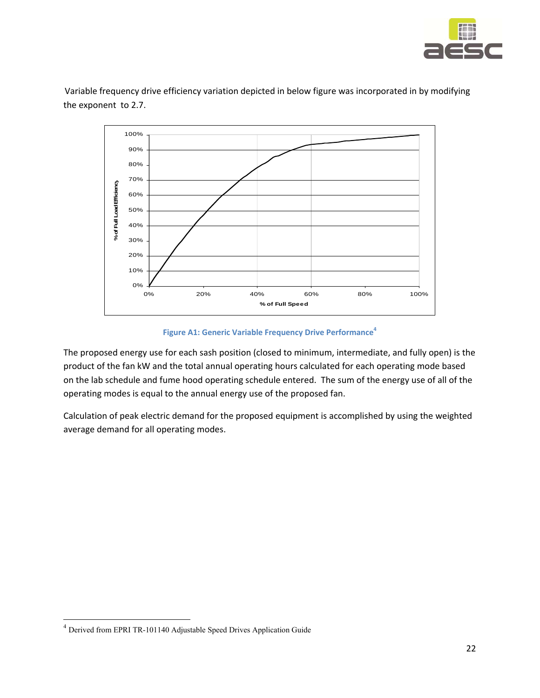![](_page_21_Picture_0.jpeg)

Variable frequency drive efficiency variation depicted in below figure was incorporated in by modifying the exponent to 2.7.

![](_page_21_Figure_2.jpeg)

**Figure A1: Generic Variable Frequency Drive Performance<sup>4</sup>** 

The proposed energy use for each sash position (closed to minimum, intermediate, and fully open) is the product of the fan kW and the total annual operating hours calculated for each operating mode based on the lab schedule and fume hood operating schedule entered. The sum of the energy use of all of the operating modes is equal to the annual energy use of the proposed fan.

Calculation of peak electric demand for the proposed equipment is accomplished by using the weighted average demand for all operating modes.

<sup>4</sup> Derived from EPRI TR-101140 Adjustable Speed Drives Application Guide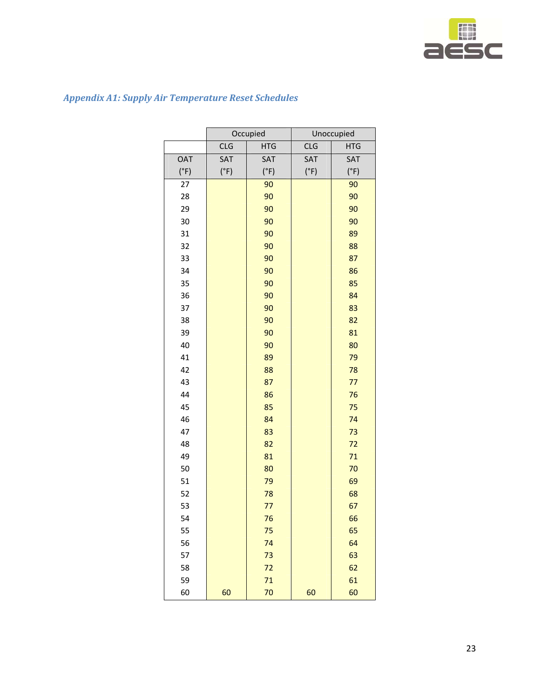![](_page_22_Picture_0.jpeg)

|            | Occupied   |            | Unoccupied |            |
|------------|------------|------------|------------|------------|
|            | <b>CLG</b> | <b>HTG</b> | <b>CLG</b> | <b>HTG</b> |
| <b>OAT</b> | SAT        | SAT        | SAT        | SAT        |
| (°F)       | (°F)       | (°F)       | (°F)       | (°F)       |
| 27         |            | 90         |            | 90         |
| 28         |            | 90         |            | 90         |
| 29         |            | 90         |            | 90         |
| 30         |            | 90         |            | 90         |
| 31         |            | 90         |            | 89         |
| 32         |            | 90         |            | 88         |
| 33         |            | 90         |            | 87         |
| 34         |            | 90         |            | 86         |
| 35         |            | 90         |            | 85         |
| 36         |            | 90         |            | 84         |
| 37         |            | 90         |            | 83         |
| 38         |            | 90         |            | 82         |
| 39         |            | 90         |            | 81         |
| 40         |            | 90         |            | 80         |
| 41         |            | 89         |            | 79         |
| 42         |            | 88         |            | 78         |
| 43         |            | 87         |            | 77         |
| 44         |            | 86         |            | 76         |
| 45         |            | 85         |            | 75         |
| 46         |            | 84         |            | 74         |
| 47         |            | 83         |            | 73         |
| 48         |            | 82         |            | 72         |
| 49         |            | 81         |            | 71         |
| 50         |            | 80         |            | 70         |
| 51         |            | 79         |            | 69         |
| 52         |            | 78         |            | 68         |
| 53         |            | 77         |            | 67         |
| 54         |            | 76         |            | 66         |
| 55         |            | 75         |            | 65         |
| 56         |            | 74         |            | 64         |
| 57         |            | 73         |            | 63         |
| 58         |            | 72         |            | 62         |
| 59         |            | 71         |            | 61         |
| 60         | 60         | 70         | 60         | 60         |

### *Appendix A1: Supply Air Temperature Reset Schedules*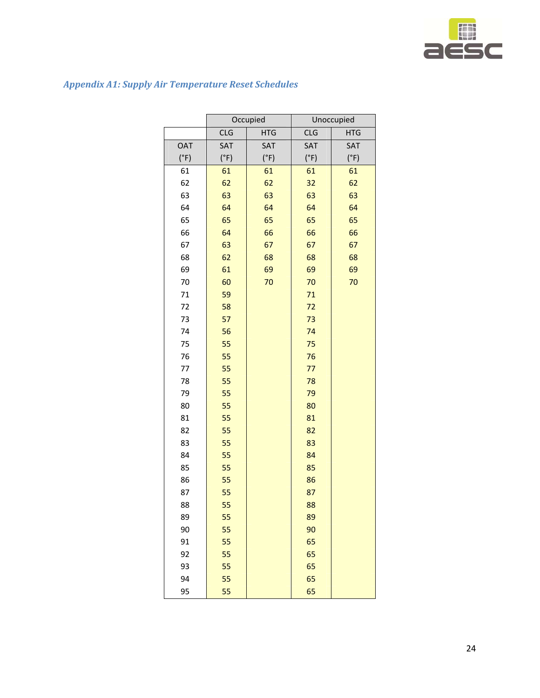![](_page_23_Picture_0.jpeg)

## *Appendix A1: Supply Air Temperature Reset Schedules*

|            | Occupied   |            | Unoccupied |            |
|------------|------------|------------|------------|------------|
|            | <b>CLG</b> | <b>HTG</b> | <b>CLG</b> | <b>HTG</b> |
| <b>OAT</b> | SAT        | SAT        | SAT        | SAT        |
| (°F)       | (°F)       | (°F)       | (°F)       | (°F)       |
| 61         | 61         | 61         | 61         | 61         |
| 62         | 62         | 62         | 32         | 62         |
| 63         | 63         | 63         | 63         | 63         |
| 64         | 64         | 64         | 64         | 64         |
| 65         | 65         | 65         | 65         | 65         |
| 66         | 64         | 66         | 66         | 66         |
| 67         | 63         | 67         | 67         | 67         |
| 68         | 62         | 68         | 68         | 68         |
| 69         | 61         | 69         | 69         | 69         |
| 70         | 60         | 70         | 70         | 70         |
| 71         | 59         |            | 71         |            |
| 72         | 58         |            | 72         |            |
| 73         | 57         |            | 73         |            |
| 74         | 56         |            | 74         |            |
| 75         | 55         |            | 75         |            |
| 76         | 55         |            | 76         |            |
| 77         | 55         |            | 77         |            |
| 78         | 55         |            | 78         |            |
| 79         | 55         |            | 79         |            |
| 80         | 55         |            | 80         |            |
| 81         | 55         |            | 81         |            |
| 82         | 55         |            | 82         |            |
| 83         | 55         |            | 83         |            |
| 84         | 55         |            | 84         |            |
| 85         | 55         |            | 85         |            |
| 86         | 55         |            | 86         |            |
| 87         | 55         |            | 87         |            |
| 88         | 55         |            | 88         |            |
| 89         | 55         |            | 89         |            |
| 90         | 55         |            | 90         |            |
| 91         | 55         |            | 65         |            |
| 92         | 55         |            | 65         |            |
| 93         | 55         |            | 65         |            |
| 94         | 55         |            | 65         |            |
| 95         | 55         |            | 65         |            |